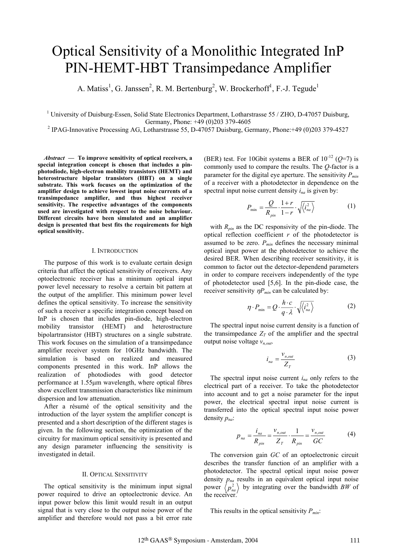# Optical Sensitivity of a Monolithic Integrated InP PIN-HEMT-HBT Transimpedance Amplifier

A. Matiss<sup>1</sup>, G. Janssen<sup>2</sup>, R. M. Bertenburg<sup>2</sup>, W. Brockerhoff<sup>1</sup>, F.-J. Tegude<sup>1</sup>

<sup>1</sup> University of Duisburg-Essen, Solid State Electronics Department, Lotharstrasse 55 / ZHO, D-47057 Duisburg, Germany, Phone: +49 (0)203 379-4605<br><sup>2</sup> IPAG-Innovative Processing AG, Lotharstrasse 55, D-47057 Duisburg, Germany, Phone: +49 (0)203 379-4527

*Abstract* **— To improve sensitivity of optical receivers, a special integration concept is chosen that includes a pinphotodiode, high-electron mobility transistors (HEMT) and heterostructure bipolar transistors (HBT) on a single substrate. This work focuses on the optimization of the amplifier design to achieve lowest input noise currents of a transimpedance amplifier, and thus highest receiver sensitivity. The respective advantages of the components used are investigated with respect to the noise behaviour. Different circuits have been simulated and an amplifier design is presented that best fits the requirements for high optical sensitivity.** 

### I. INTRODUCTION

The purpose of this work is to evaluate certain design criteria that affect the optical sensitivity of receivers. Any optoelectronic receiver has a minimum optical input power level necessary to resolve a certain bit pattern at the output of the amplifier. This minimum power level defines the optical sensitivity. To increase the sensitivity of such a receiver a specific integration concept based on InP is chosen that includes pin-diode, high-electron mobility transistor (HEMT) and heterostructure bipolartransistor (HBT) structures on a single substrate. This work focuses on the simulation of a transimpedance amplifier receiver system for 10GHz bandwidth. The simulation is based on realized and measured components presented in this work. InP allows the realization of photodiodes with good detector performance at  $1.55 \mu m$  wavelength, where optical fibres show excellent transmission characteristics like minimum dispersion and low attenuation.

After a résumé of the optical sensitivity and the introduction of the layer system the amplifier concept is presented and a short description of the different stages is given. In the following section, the optimization of the circuitry for maximum optical sensitivity is presented and any design parameter influencing the sensitivity is investigated in detail.

### II. OPTICAL SENSITIVITY

The optical sensitivity is the minimum input signal power required to drive an optoelectronic device. An input power below this limit would result in an output signal that is very close to the output noise power of the amplifier and therefore would not pass a bit error rate

(BER) test. For 10Gbit systems a BER of  $10^{-12}$  ( $Q=7$ ) is commonly used to compare the results. The *Q*-factor is a parameter for the digital eye aperture. The sensitivity  $P_{min}$ of a receiver with a photodetector in dependence on the spectral input noise current density  $i_{na}$  is given by:

$$
P_{\min} = \frac{Q}{R_{\min}} \cdot \frac{1+r}{1-r} \cdot \sqrt{\langle i_{na}^2 \rangle} \tag{1}
$$

with *Rpin* as the DC responsivity of the pin-diode. The optical reflection coefficient *r* of the photodetector is assumed to be zero.  $P_{min}$  defines the necessary minimal optical input power at the photodetector to achieve the desired BER. When describing receiver sensitivity, it is common to factor out the detector-dependend parameters in order to compare receivers independently of the type of photodetector used [5,6]. In the pin-diode case, the receiver sensitivity  $\eta P_{min}$  can be calculated by:

$$
\eta \cdot P_{\min} = Q \cdot \frac{h \cdot c}{q \cdot \lambda} \cdot \sqrt{\langle i_{na}^2 \rangle}
$$
 (2)

The spectral input noise current density is a function of the transimpedance  $Z_T$  of the amplifier and the spectral output noise voltage  $v_{n,out}$ .

$$
i_{na} = \frac{v_{n,out}}{Z_T} \tag{3}
$$

The spectral input noise current *ina* only refers to the electrical part of a receiver. To take the photodetector into account and to get a noise parameter for the input power, the electrical spectral input noise current is transferred into the optical spectral input noise power density *pna*:

$$
p_{na} = \frac{i_{na}}{R_{pin}} = \frac{v_{n,out}}{Z_T} \cdot \frac{1}{R_{pin}} = \frac{v_{n,out}}{GC}
$$
 (4)

The conversion gain *GC* of an optoelectronic circuit describes the transfer function of an amplifier with a photodetector. The spectral optical input noise power density *pna* results in an equivalent optical input noise power  $\langle p_{na}^2 \rangle$  by integrating over the bandwidth *BW* of the receiver.

This results in the optical sensitivity  $P_{min}$ :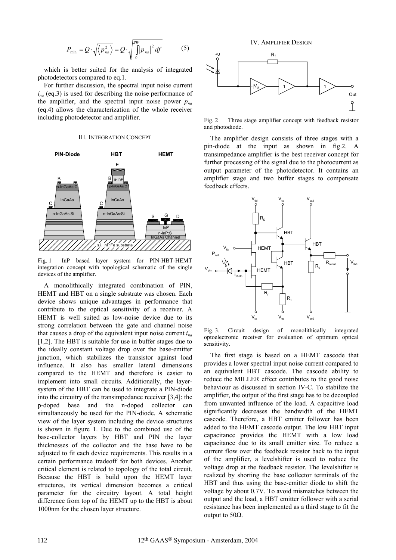$$
P_{\min} = Q \cdot \sqrt{\langle p_{na}^2 \rangle} = Q \cdot \sqrt{\int_0^{BW} |p_{na}|^2} df
$$
 (5)

which is better suited for the analysis of integrated photodetectors compared to eq.1.

For further discussion, the spectral input noise current  $i_{na}$  (eq.3) is used for describing the noise performance of the amplifier, and the spectral input noise power  $p_{na}$ (eq.4) allows the characterization of the whole receiver including photodetector and amplifier.

#### III. INTEGRATION CONCEPT



Fig. 1 InP based layer system for PIN-HBT-HEMT integration concept with topological schematic of the single devices of the amplifier.

A monolithically integrated combination of PIN, HEMT and HBT on a single substrate was chosen. Each device shows unique advantages in performance that contribute to the optical sensitivity of a receiver. A HEMT is well suited as low-noise device due to its strong correlation between the gate and channel noise that causes a drop of the equivalent input noise current *ina* [1,2]. The HBT is suitable for use in buffer stages due to the ideally constant voltage drop over the base-emitter junction, which stabilizes the transistor against load influence. It also has smaller lateral dimensions compared to the HEMT and therefore is easier to implement into small circuits. Additionally, the layersystem of the HBT can be used to integrate a PIN-diode into the circuitry of the transimpedance receiver [3,4]: the p-doped base and the n-doped collector can simultaneously be used for the PIN-diode. A schematic view of the layer system including the device structures is shown in figure 1. Due to the combined use of the base-collector layers by HBT and PIN the layer thicknesses of the collector and the base have to be adjusted to fit each device requirements. This results in a certain performance tradeoff for both devices. Another critical element is related to topology of the total circuit. Because the HBT is build upon the HEMT layer structures, its vertical dimension becomes a critical parameter for the circuitry layout. A total height difference from top of the HEMT up to the HBT is about 1000nm for the chosen layer structure.





Fig. 2 Three stage amplifier concept with feedback resistor and photodiode.

The amplifier design consists of three stages with a pin-diode at the input as shown in fig.2. A transimpedance amplifier is the best receiver concept for further processing of the signal due to the photocurrent as output parameter of the photodetector. It contains an amplifier stage and two buffer stages to compensate feedback effects.



Fig. 3. Circuit design of monolithically integrated optoelectronic receiver for evaluation of optimum optical sensitivity.

The first stage is based on a HEMT cascode that provides a lower spectral input noise current compared to an equivalent HBT cascode. The cascode ability to reduce the MILLER effect contributes to the good noise behaviour as discussed in section IV-C. To stabilize the amplifier, the output of the first stage has to be decoupled from unwanted influence of the load. A capacitive load significantly decreases the bandwidth of the HEMT cascode. Therefore, a HBT emitter follower has been added to the HEMT cascode output. The low HBT input capacitance provides the HEMT with a low load capacitance due to its small emitter size. To reduce a current flow over the feedback resistor back to the input of the amplifier, a levelshifter is used to reduce the voltage drop at the feedback resistor. The levelshifter is realized by shorting the base collector terminals of the HBT and thus using the base-emitter diode to shift the voltage by about 0.7V. To avoid mismatches between the output and the load, a HBT emitter follower with a serial resistance has been implemented as a third stage to fit the output to  $50\Omega$ .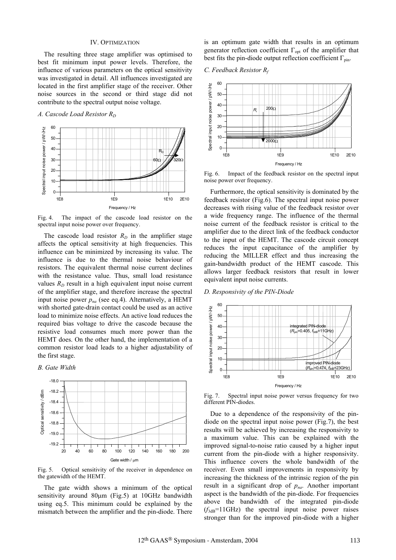# IV. OPTIMIZATION

The resulting three stage amplifier was optimised to best fit minimum input power levels. Therefore, the influence of various parameters on the optical sensitivity was investigated in detail. All influences investigated are located in the first amplifier stage of the receiver. Other noise sources in the second or third stage did not contribute to the spectral output noise voltage.

# *A. Cascode Load Resistor R<sub>D</sub>*



Fig. 4. The impact of the cascode load resistor on the spectral input noise power over frequency.

The cascode load resistor  $R_D$  in the amplifier stage affects the optical sensitivity at high frequencies. This influence can be minimized by increasing its value. The influence is due to the thermal noise behaviour of resistors. The equivalent thermal noise current declines with the resistance value. Thus, small load resistance values  $R_D$  result in a high equivalent input noise current of the amplifier stage, and therefore increase the spectral input noise power  $p_{na}$  (see eq.4). Alternatively, a HEMT with shorted gate-drain contact could be used as an active load to minimize noise effects. An active load reduces the required bias voltage to drive the cascode because the resistive load consumes much more power than the HEMT does. On the other hand, the implementation of a common resistor load leads to a higher adjustability of the first stage.

# *B. Gate Width*



Fig. 5. Optical sensitivity of the receiver in dependence on the gatewidth of the HEMT.

The gate width shows a minimum of the optical sensitivity around  $80\mu m$  (Fig.5) at 10GHz bandwidth using eq.5. This minimum could be explained by the mismatch between the amplifier and the pin-diode. There

is an optimum gate width that results in an optimum generator reflection coefficient  $\Gamma_{opt}$  of the amplifier that best fits the pin-diode output reflection coefficient  $\Gamma_{pin}$ .

*C. Feedback Resistor Rf*



Fig. 6. Impact of the feedback resistor on the spectral input noise power over frequency.

Furthermore, the optical sensitivity is dominated by the feedback resistor (Fig.6). The spectral input noise power decreases with rising value of the feedback resistor over a wide frequency range. The influence of the thermal noise current of the feedback resistor is critical to the amplifier due to the direct link of the feedback conductor to the input of the HEMT. The cascode circuit concept reduces the input capacitance of the amplifier by reducing the MILLER effect and thus increasing the gain-bandwidth product of the HEMT cascode. This allows larger feedback resistors that result in lower equivalent input noise currents.

# *D. Responsivity of the PIN-Diode*



Fig. 7. Spectral input noise power versus frequency for two different PIN-diodes.

Due to a dependence of the responsivity of the pindiode on the spectral input noise power (Fig.7), the best results will be achieved by increasing the responsivity to a maximum value. This can be explained with the improved signal-to-noise ratio caused by a higher input current from the pin-diode with a higher responsivity. This influence covers the whole bandwidth of the receiver. Even small improvements in responsivity by increasing the thickness of the intrinsic region of the pin result in a significant drop of  $p_{na}$ . Another important aspect is the bandwidth of the pin-diode. For frequencies above the bandwidth of the integrated pin-diode  $(f<sub>3dB</sub>=11GHz)$  the spectral input noise power raises stronger than for the improved pin-diode with a higher